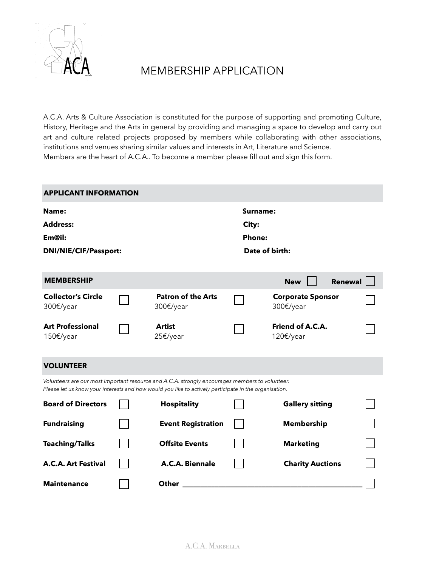

# MEMBERSHIP APPLICATION

A.C.A. Arts & Culture Association is constituted for the purpose of supporting and promoting Culture, History, Heritage and the Arts in general by providing and managing a space to develop and carry out art and culture related projects proposed by members while collaborating with other associations, institutions and venues sharing similar values and interests in Art, Literature and Science. Members are the heart of A.C.A.. To become a member please fill out and sign this form.

| <b>APPLICANT INFORMATION</b>                                                                                                                                                                             |  |                                                      |  |                                       |  |  |  |  |
|----------------------------------------------------------------------------------------------------------------------------------------------------------------------------------------------------------|--|------------------------------------------------------|--|---------------------------------------|--|--|--|--|
| Name:<br><b>Address:</b><br>Em@il:<br><b>DNI/NIE/CIF/Passport:</b>                                                                                                                                       |  | Surname:<br>City:<br><b>Phone:</b><br>Date of birth: |  |                                       |  |  |  |  |
| <b>MEMBERSHIP</b>                                                                                                                                                                                        |  |                                                      |  | <b>Renewal</b><br><b>New</b>          |  |  |  |  |
| <b>Collector's Circle</b><br>300€/year                                                                                                                                                                   |  | <b>Patron of the Arts</b><br>300€/year               |  | <b>Corporate Sponsor</b><br>300€/year |  |  |  |  |
| <b>Art Professional</b><br>150€/year                                                                                                                                                                     |  | <b>Artist</b><br>25€/year                            |  | <b>Friend of A.C.A.</b><br>120€/year  |  |  |  |  |
| <b>VOLUNTEER</b>                                                                                                                                                                                         |  |                                                      |  |                                       |  |  |  |  |
| Volunteers are our most important resource and A.C.A. strongly encourages members to volunteer.<br>Please let us know your interests and how would you like to actively participate in the organisation. |  |                                                      |  |                                       |  |  |  |  |
| <b>Board of Directors</b>                                                                                                                                                                                |  | <b>Hospitality</b>                                   |  | <b>Gallery sitting</b>                |  |  |  |  |
| <b>Fundraising</b>                                                                                                                                                                                       |  | <b>Event Registration</b>                            |  | <b>Membership</b>                     |  |  |  |  |
| <b>Teaching/Talks</b>                                                                                                                                                                                    |  | <b>Offsite Events</b>                                |  | <b>Marketing</b>                      |  |  |  |  |
| <b>A.C.A. Art Festival</b>                                                                                                                                                                               |  | A.C.A. Biennale                                      |  | <b>Charity Auctions</b>               |  |  |  |  |
| <b>Maintenance</b>                                                                                                                                                                                       |  | <b>Other</b>                                         |  |                                       |  |  |  |  |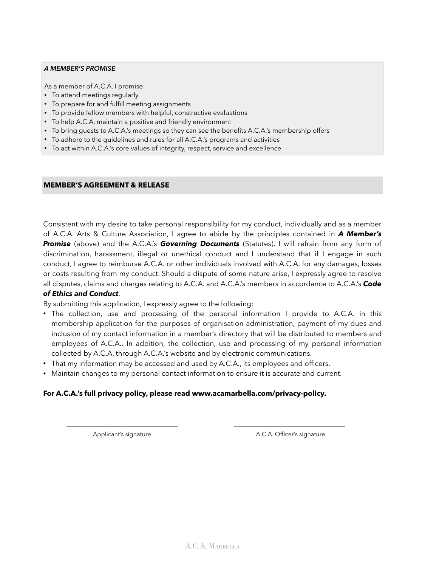# *A MEMBER'S PROMISE*

As a member of A.C.A. I promise

- To attend meetings regularly
- To prepare for and fulfill meeting assignments
- To provide fellow members with helpful, constructive evaluations
- To help A.C.A. maintain a positive and friendly environment
- To bring guests to A.C.A.'s meetings so they can see the benefits A.C.A.'s membership offers
- To adhere to the guidelines and rules for all A.C.A.'s programs and activities
- To act within A.C.A.'s core values of integrity, respect, service and excellence

# **MEMBER'S AGREEMENT & RELEASE**

Consistent with my desire to take personal responsibility for my conduct, individually and as a member of A.C.A. Arts & Culture Association, I agree to abide by the principles contained in *A Member's*  **Promise** (above) and the A.C.A.'s **Governing Documents** (Statutes). I will refrain from any form of discrimination, harassment, illegal or unethical conduct and I understand that if I engage in such conduct, I agree to reimburse A.C.A. or other individuals involved with A.C.A. for any damages, losses or costs resulting from my conduct. Should a dispute of some nature arise, I expressly agree to resolve all disputes, claims and charges relating to A.C.A. and A.C.A.'s members in accordance to A.C.A.'s *Code* 

### *of Ethics and Conduct*.

By submitting this application, I expressly agree to the following:

- The collection, use and processing of the personal information I provide to A.C.A. in this membership application for the purposes of organisation administration, payment of my dues and inclusion of my contact information in a member's directory that will be distributed to members and employees of A.C.A.. In addition, the collection, use and processing of my personal information collected by A.C.A. through A.C.A.'s website and by electronic communications.
- That my information may be accessed and used by A.C.A., its employees and officers.
- Maintain changes to my personal contact information to ensure it is accurate and current.

 $\frac{1}{2}$  ,  $\frac{1}{2}$  ,  $\frac{1}{2}$  ,  $\frac{1}{2}$  ,  $\frac{1}{2}$  ,  $\frac{1}{2}$  ,  $\frac{1}{2}$  ,  $\frac{1}{2}$  ,  $\frac{1}{2}$  ,  $\frac{1}{2}$  ,  $\frac{1}{2}$  ,  $\frac{1}{2}$  ,  $\frac{1}{2}$  ,  $\frac{1}{2}$  ,  $\frac{1}{2}$  ,  $\frac{1}{2}$  ,  $\frac{1}{2}$  ,  $\frac{1}{2}$  ,  $\frac{1$ 

# **For A.C.A.'s full privacy policy, please read www.acamarbella.com/privacy-policy.**

Applicant's signature A.C.A. Officer's signature